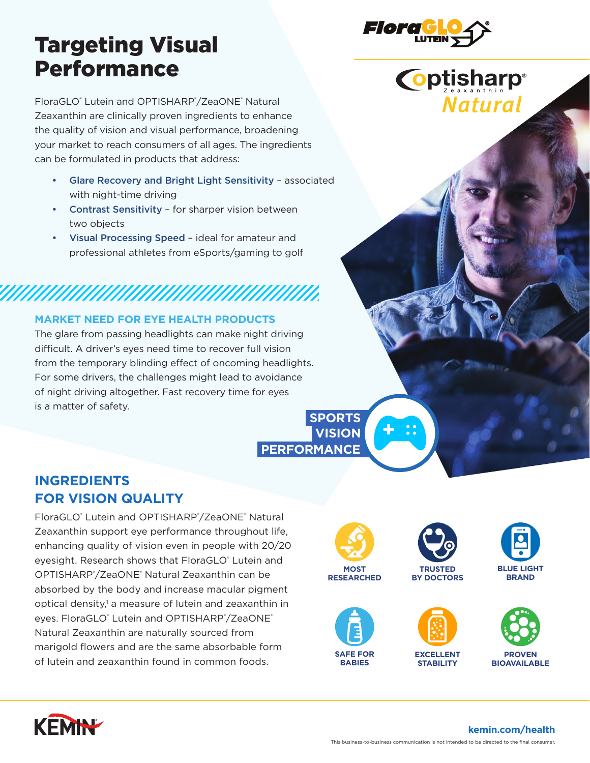## Targeting Visual Performance

FloraGLO® Lutein and OPTISHARP®/ZeaONE® Natural Zeaxanthin are clinically proven ingredients to enhance the quality of vision and visual performance, broadening your market to reach consumers of all ages. The ingredients can be formulated in products that address:

- Glare Recovery and Bright Light Sensitivity associated with night-time driving
- Contrast Sensitivity for sharper vision between two objects
- Visual Processing Speed ideal for amateur and professional athletes from eSports/gaming to golf

# *MANAHANAHANAHANAHANAHAN*

#### **MARKET NEED FOR EYE HEALTH PRODUCTS**

The glare from passing headlights can make night driving difficult. A driver's eyes need time to recover full vision from the temporary blinding effect of oncoming headlights. For some drivers, the challenges might lead to avoidance of night driving altogether. Fast recovery time for eyes is a matter of safety.

### **SPORTS VISION**

 **PERFORMANCE**

## **INGREDIENTS FOR VISION QUALITY**

FloraGLO<sup>®</sup> Lutein and OPTISHARP®/ZeaONE® Natural Zeaxanthin support eye performance throughout life, enhancing quality of vision even in people with 20/20 eyesight. Research shows that FloraGLO® Lutein and OPTISHARP® /ZeaONE® Natural Zeaxanthin can be absorbed by the body and increase macular pigment optical density,<sup>1</sup> a measure of lutein and zeaxanthin in eyes. FloraGLO® Lutein and OPTISHARP®/ZeaONE® Natural Zeaxanthin are naturally sourced from marigold flowers and are the same absorbable form of lutein and zeaxanthin found in common foods.





**BY DOCTORS**

**RESEARCHED**













**kemin.com/health**



**Coptisharp®** 

**Natural**